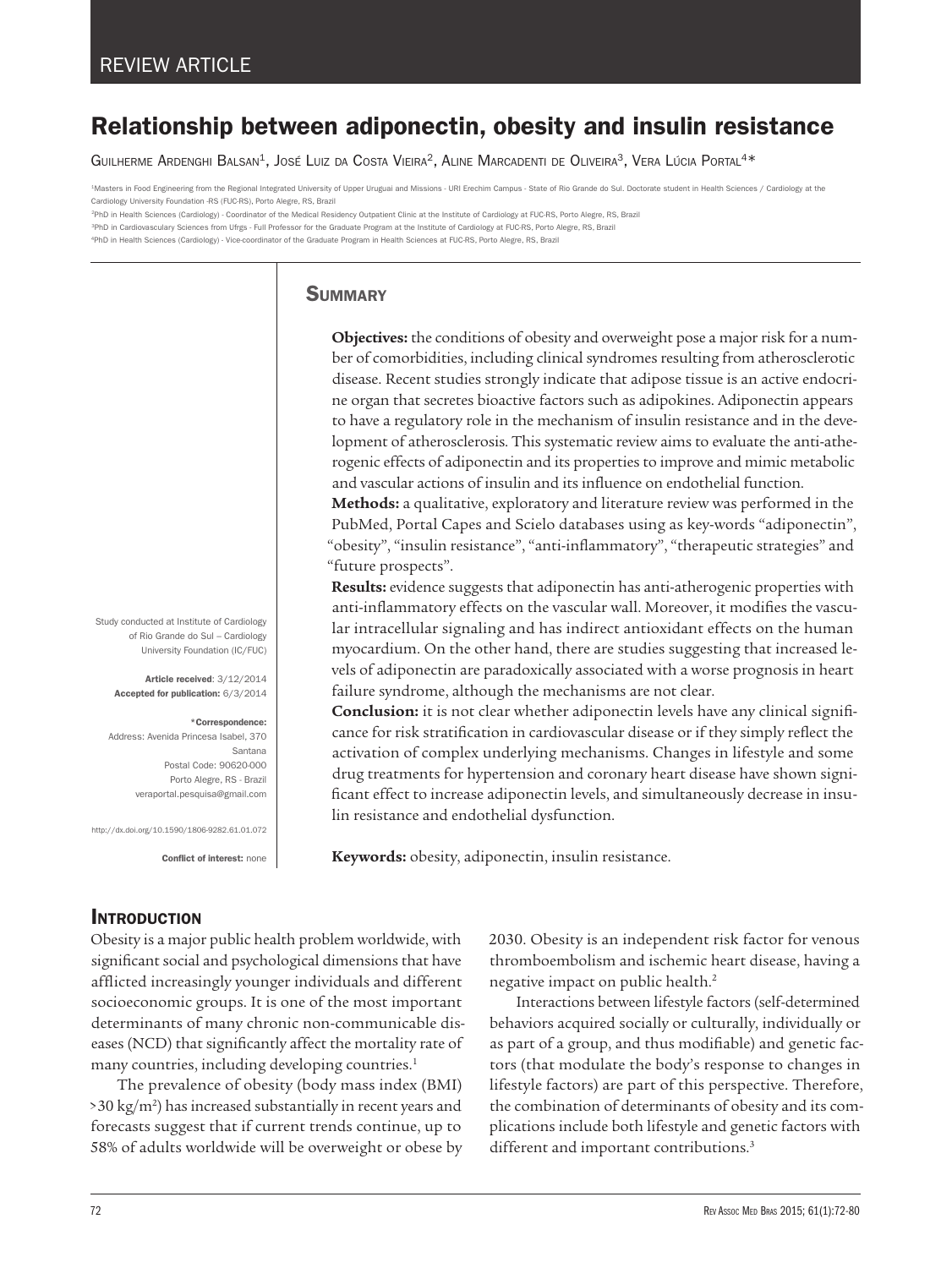# Relationship between adiponectin, obesity and insulin resistance

GUILHERME ARDENGHI BALSAN<sup>1</sup>, JOSÉ LUIZ DA COSTA VIEIRA<sup>2</sup>, ALINE MARCADENTI DE OLIVEIRA<sup>3</sup>, VERA LÚCIA PORTAL<sup>4\*</sup>

1Masters in Food Engineering from the Regional Integrated University of Upper Uruguai and Missions - URI Erechim Campus - State of Rio Grande do Sul. Doctorate student in Health Sciences / Cardiology at the Cardiology University Foundation -RS (FUC-RS), Porto Alegre, RS, Brazil

2PhD in Health Sciences (Cardiology) - Coordinator of the Medical Residency Outpatient Clinic at the Institute of Cardiology at FUC-RS, Porto Alegre, RS, Brazil

<sup>3</sup>PhD in Cardiovasculary Sciences from Ufrgs - Full Professor for the Graduate Program at the Institute of Cardiology at FUC-RS, Porto Alegre, RS, Brazil

4PhD in Health Sciences (Cardiology) - Vice-coordinator of the Graduate Program in Health Sciences at FUC-RS, Porto Alegre, RS, Brazil

### **SUMMARY**

**Objectives:** the conditions of obesity and overweight pose a major risk for a number of comorbidities, including clinical syndromes resulting from atherosclerotic disease. Recent studies strongly indicate that adipose tissue is an active endocrine organ that secretes bioactive factors such as adipokines. Adiponectin appears to have a regulatory role in the mechanism of insulin resistance and in the development of atherosclerosis. This systematic review aims to evaluate the anti-atherogenic effects of adiponectin and its properties to improve and mimic metabolic and vascular actions of insulin and its influence on endothelial function.

**Methods:** a qualitative, exploratory and literature review was performed in the PubMed, Portal Capes and Scielo databases using as key-words "adiponectin", "obesity", "insulin resistance", "anti-inflammatory", "therapeutic strategies" and "future prospects".

**Results:** evidence suggests that adiponectin has anti-atherogenic properties with anti-inflammatory effects on the vascular wall. Moreover, it modifies the vascular intracellular signaling and has indirect antioxidant effects on the human myocardium. On the other hand, there are studies suggesting that increased levels of adiponectin are paradoxically associated with a worse prognosis in heart failure syndrome, although the mechanisms are not clear.

**Conclusion:** it is not clear whether adiponectin levels have any clinical significance for risk stratification in cardiovascular disease or if they simply reflect the activation of complex underlying mechanisms. Changes in lifestyle and some drug treatments for hypertension and coronary heart disease have shown significant effect to increase adiponectin levels, and simultaneously decrease in insulin resistance and endothelial dysfunction.

**Keywords:** obesity, adiponectin, insulin resistance.

## **INTRODUCTION**

Obesity is a major public health problem worldwide, with significant social and psychological dimensions that have afflicted increasingly younger individuals and different socioeconomic groups. It is one of the most important determinants of many chronic non-communicable diseases (NCD) that significantly affect the mortality rate of many countries, including developing countries.<sup>1</sup>

The prevalence of obesity (body mass index (BMI) >30 kg/m2 ) has increased substantially in recent years and forecasts suggest that if current trends continue, up to 58% of adults worldwide will be overweight or obese by

2030. Obesity is an independent risk factor for venous thromboembolism and ischemic heart disease, having a negative impact on public health.2

Interactions between lifestyle factors (self-determined behaviors acquired socially or culturally, individually or as part of a group, and thus modifiable) and genetic factors (that modulate the body's response to changes in lifestyle factors) are part of this perspective. Therefore, the combination of determinants of obesity and its complications include both lifestyle and genetic factors with different and important contributions.<sup>3</sup>

Study conducted at Institute of Cardiology of Rio Grande do Sul – Cardiology University Foundation (IC/FUC)

Article received: 3/12/2014 Accepted for publication: 6/3/2014

#### \*Correspondence:

Address: Avenida Princesa Isabel, 370 Santana Postal Code: 90620-000 Porto Alegre, RS - Brazil veraportal.pesquisa@gmail.com

http://dx.doi.org/10.1590/1806-9282.61.01.072

Conflict of interest: none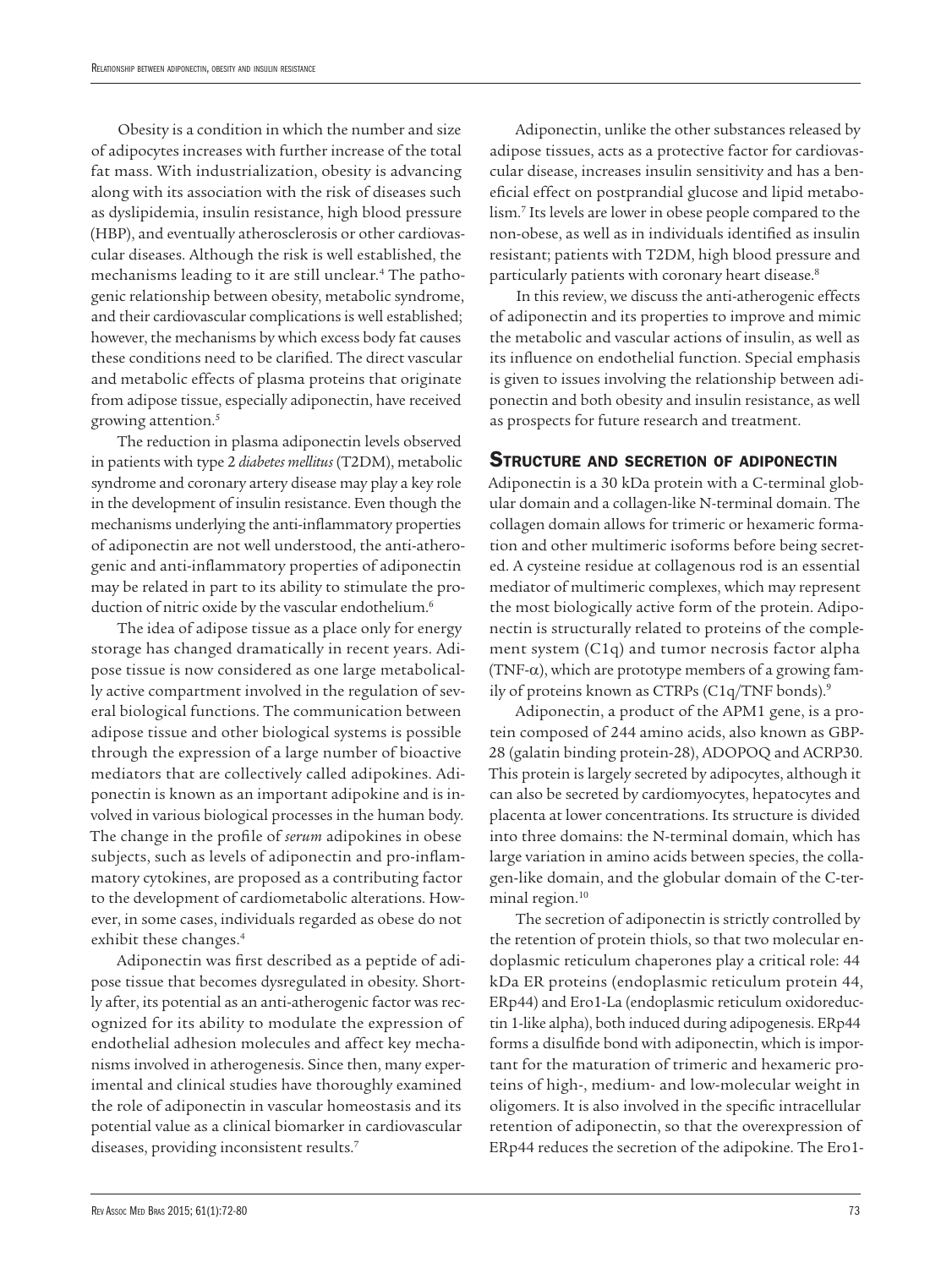Obesity is a condition in which the number and size of adipocytes increases with further increase of the total fat mass. With industrialization, obesity is advancing along with its association with the risk of diseases such as dyslipidemia, insulin resistance, high blood pressure (HBP), and eventually atherosclerosis or other cardiovascular diseases. Although the risk is well established, the mechanisms leading to it are still unclear.4 The pathogenic relationship between obesity, metabolic syndrome, and their cardiovascular complications is well established; however, the mechanisms by which excess body fat causes these conditions need to be clarified. The direct vascular and metabolic effects of plasma proteins that originate from adipose tissue, especially adiponectin, have received growing attention.5

The reduction in plasma adiponectin levels observed in patients with type 2 *diabetes mellitus* (T2DM), metabolic syndrome and coronary artery disease may play a key role in the development of insulin resistance. Even though the mechanisms underlying the anti-inflammatory properties of adiponectin are not well understood, the anti-atherogenic and anti-inflammatory properties of adiponectin may be related in part to its ability to stimulate the production of nitric oxide by the vascular endothelium.<sup>6</sup>

The idea of adipose tissue as a place only for energy storage has changed dramatically in recent years. Adipose tissue is now considered as one large metabolically active compartment involved in the regulation of several biological functions. The communication between adipose tissue and other biological systems is possible through the expression of a large number of bioactive mediators that are collectively called adipokines. Adiponectin is known as an important adipokine and is involved in various biological processes in the human body. The change in the profile of *serum* adipokines in obese subjects, such as levels of adiponectin and pro-inflammatory cytokines, are proposed as a contributing factor to the development of cardiometabolic alterations. However, in some cases, individuals regarded as obese do not exhibit these changes.<sup>4</sup>

Adiponectin was first described as a peptide of adipose tissue that becomes dysregulated in obesity. Shortly after, its potential as an anti-atherogenic factor was recognized for its ability to modulate the expression of endothelial adhesion molecules and affect key mechanisms involved in atherogenesis. Since then, many experimental and clinical studies have thoroughly examined the role of adiponectin in vascular homeostasis and its potential value as a clinical biomarker in cardiovascular diseases, providing inconsistent results.7

Adiponectin, unlike the other substances released by adipose tissues, acts as a protective factor for cardiovascular disease, increases insulin sensitivity and has a beneficial effect on postprandial glucose and lipid metabolism.7 Its levels are lower in obese people compared to the non-obese, as well as in individuals identified as insulin resistant; patients with T2DM, high blood pressure and particularly patients with coronary heart disease.<sup>8</sup>

In this review, we discuss the anti-atherogenic effects of adiponectin and its properties to improve and mimic the metabolic and vascular actions of insulin, as well as its influence on endothelial function. Special emphasis is given to issues involving the relationship between adiponectin and both obesity and insulin resistance, as well as prospects for future research and treatment.

#### STRUCTURE AND SECRETION OF ADIPONECTIN

Adiponectin is a 30 kDa protein with a C-terminal globular domain and a collagen-like N-terminal domain. The collagen domain allows for trimeric or hexameric formation and other multimeric isoforms before being secreted. A cysteine residue at collagenous rod is an essential mediator of multimeric complexes, which may represent the most biologically active form of the protein. Adiponectin is structurally related to proteins of the complement system (C1q) and tumor necrosis factor alpha (TNF- $\alpha$ ), which are prototype members of a growing family of proteins known as CTRPs (C1q/TNF bonds).<sup>9</sup>

Adiponectin, a product of the APM1 gene, is a protein composed of 244 amino acids, also known as GBP-28 (galatin binding protein-28), ADOPOQ and ACRP30. This protein is largely secreted by adipocytes, although it can also be secreted by cardiomyocytes, hepatocytes and placenta at lower concentrations. Its structure is divided into three domains: the N-terminal domain, which has large variation in amino acids between species, the collagen-like domain, and the globular domain of the C-terminal region.<sup>10</sup>

The secretion of adiponectin is strictly controlled by the retention of protein thiols, so that two molecular endoplasmic reticulum chaperones play a critical role: 44 kDa ER proteins (endoplasmic reticulum protein 44, ERp44) and Ero1-La (endoplasmic reticulum oxidoreductin 1-like alpha), both induced during adipogenesis. ERp44 forms a disulfide bond with adiponectin, which is important for the maturation of trimeric and hexameric proteins of high-, medium- and low-molecular weight in oligomers. It is also involved in the specific intracellular retention of adiponectin, so that the overexpression of ERp44 reduces the secretion of the adipokine. The Ero1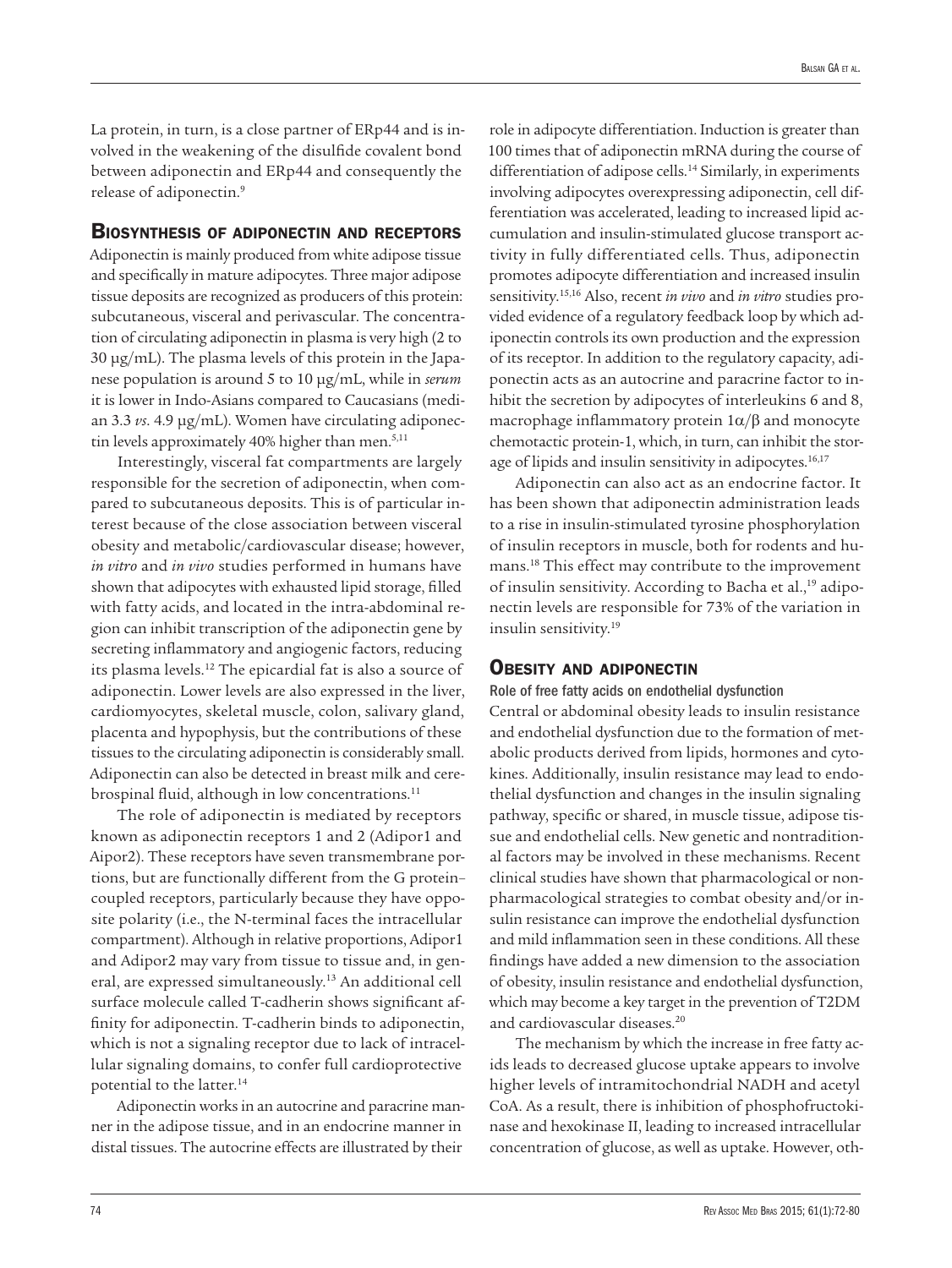La protein, in turn, is a close partner of ERp44 and is involved in the weakening of the disulfide covalent bond between adiponectin and ERp44 and consequently the release of adiponectin.9

#### Biosynthesis of adiponectin and receptors

Adiponectin is mainly produced from white adipose tissue and specifically in mature adipocytes. Three major adipose tissue deposits are recognized as producers of this protein: subcutaneous, visceral and perivascular. The concentration of circulating adiponectin in plasma is very high (2 to 30 µg/mL). The plasma levels of this protein in the Japanese population is around 5 to 10 µg/mL, while in *serum* it is lower in Indo-Asians compared to Caucasians (median 3.3 *vs*. 4.9 µg/mL). Women have circulating adiponectin levels approximately 40% higher than men.<sup>5,11</sup>

Interestingly, visceral fat compartments are largely responsible for the secretion of adiponectin, when compared to subcutaneous deposits. This is of particular interest because of the close association between visceral obesity and metabolic/cardiovascular disease; however, *in vitro* and *in vivo* studies performed in humans have shown that adipocytes with exhausted lipid storage, filled with fatty acids, and located in the intra-abdominal region can inhibit transcription of the adiponectin gene by secreting inflammatory and angiogenic factors, reducing its plasma levels.12 The epicardial fat is also a source of adiponectin. Lower levels are also expressed in the liver, cardiomyocytes, skeletal muscle, colon, salivary gland, placenta and hypophysis, but the contributions of these tissues to the circulating adiponectin is considerably small. Adiponectin can also be detected in breast milk and cerebrospinal fluid, although in low concentrations.<sup>11</sup>

The role of adiponectin is mediated by receptors known as adiponectin receptors 1 and 2 (Adipor1 and Aipor2). These receptors have seven transmembrane portions, but are functionally different from the G protein– coupled receptors, particularly because they have opposite polarity (i.e., the N-terminal faces the intracellular compartment). Although in relative proportions, Adipor1 and Adipor2 may vary from tissue to tissue and, in general, are expressed simultaneously.13 An additional cell surface molecule called T-cadherin shows significant affinity for adiponectin. T-cadherin binds to adiponectin, which is not a signaling receptor due to lack of intracellular signaling domains, to confer full cardioprotective potential to the latter.14

Adiponectin works in an autocrine and paracrine manner in the adipose tissue, and in an endocrine manner in distal tissues. The autocrine effects are illustrated by their

role in adipocyte differentiation. Induction is greater than 100 times that of adiponectin mRNA during the course of differentiation of adipose cells.<sup>14</sup> Similarly, in experiments involving adipocytes overexpressing adiponectin, cell differentiation was accelerated, leading to increased lipid accumulation and insulin-stimulated glucose transport activity in fully differentiated cells. Thus, adiponectin promotes adipocyte differentiation and increased insulin sensitivity.15,16 Also, recent *in vivo* and *in vitro* studies provided evidence of a regulatory feedback loop by which adiponectin controls its own production and the expression of its receptor. In addition to the regulatory capacity, adiponectin acts as an autocrine and paracrine factor to inhibit the secretion by adipocytes of interleukins 6 and 8, macrophage inflammatory protein  $1\alpha/\beta$  and monocyte chemotactic protein-1, which, in turn, can inhibit the storage of lipids and insulin sensitivity in adipocytes.<sup>16,17</sup>

Adiponectin can also act as an endocrine factor. It has been shown that adiponectin administration leads to a rise in insulin-stimulated tyrosine phosphorylation of insulin receptors in muscle, both for rodents and humans.18 This effect may contribute to the improvement of insulin sensitivity. According to Bacha et al.,<sup>19</sup> adiponectin levels are responsible for 73% of the variation in insulin sensitivity.19

#### OBESITY AND ADIPONECTIN

Role of free fatty acids on endothelial dysfunction

Central or abdominal obesity leads to insulin resistance and endothelial dysfunction due to the formation of metabolic products derived from lipids, hormones and cytokines. Additionally, insulin resistance may lead to endothelial dysfunction and changes in the insulin signaling pathway, specific or shared, in muscle tissue, adipose tissue and endothelial cells. New genetic and nontraditional factors may be involved in these mechanisms. Recent clinical studies have shown that pharmacological or nonpharmacological strategies to combat obesity and/or insulin resistance can improve the endothelial dysfunction and mild inflammation seen in these conditions. All these findings have added a new dimension to the association of obesity, insulin resistance and endothelial dysfunction, which may become a key target in the prevention of T2DM and cardiovascular diseases.20

The mechanism by which the increase in free fatty acids leads to decreased glucose uptake appears to involve higher levels of intramitochondrial NADH and acetyl CoA. As a result, there is inhibition of phosphofructokinase and hexokinase II, leading to increased intracellular concentration of glucose, as well as uptake. However, oth-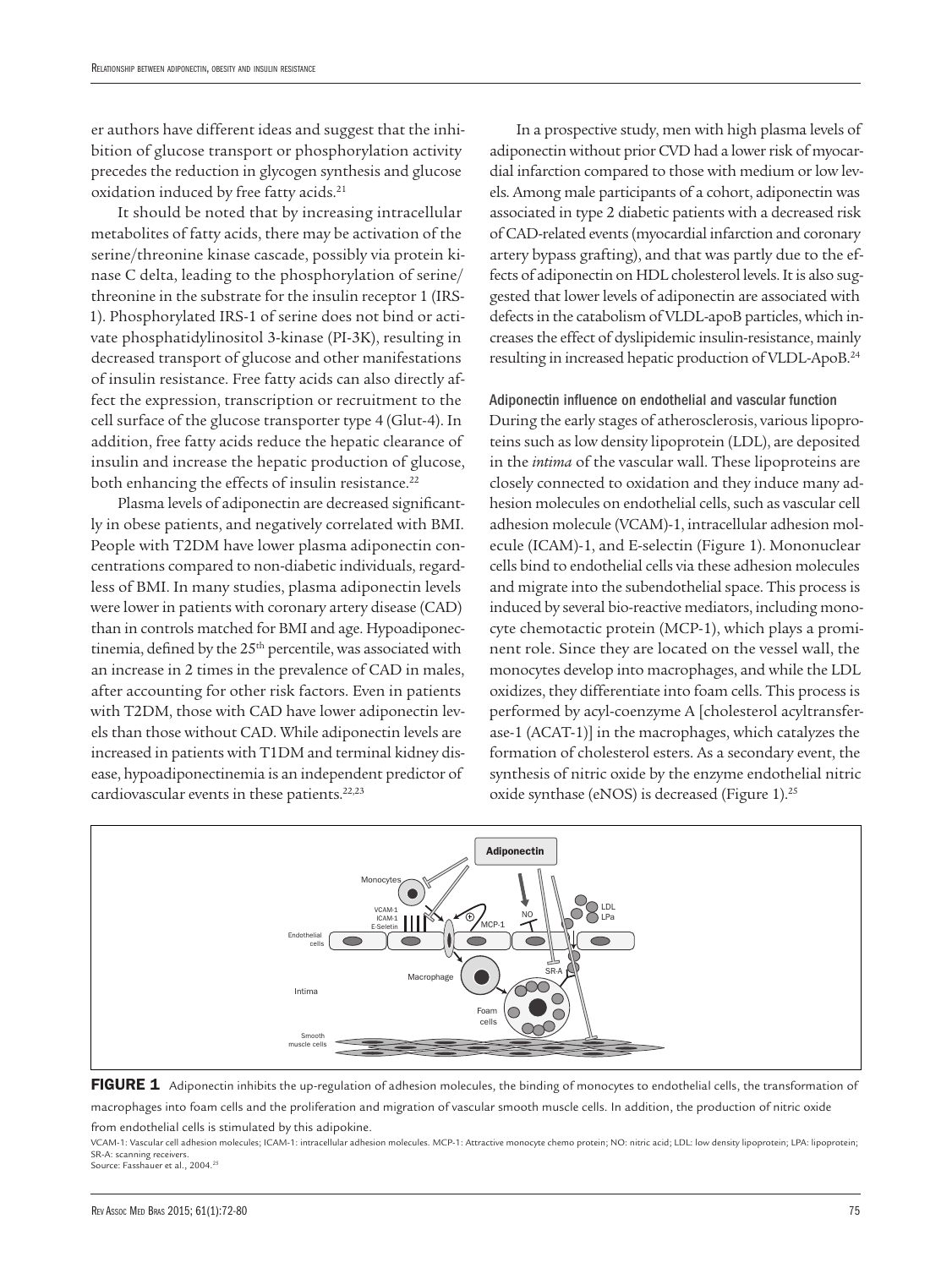er authors have different ideas and suggest that the inhibition of glucose transport or phosphorylation activity precedes the reduction in glycogen synthesis and glucose oxidation induced by free fatty acids.<sup>21</sup>

It should be noted that by increasing intracellular metabolites of fatty acids, there may be activation of the serine/threonine kinase cascade, possibly via protein kinase C delta, leading to the phosphorylation of serine/ threonine in the substrate for the insulin receptor 1 (IRS-1). Phosphorylated IRS-1 of serine does not bind or activate phosphatidylinositol 3-kinase (PI-3K), resulting in decreased transport of glucose and other manifestations of insulin resistance. Free fatty acids can also directly affect the expression, transcription or recruitment to the cell surface of the glucose transporter type 4 (Glut-4). In addition, free fatty acids reduce the hepatic clearance of insulin and increase the hepatic production of glucose, both enhancing the effects of insulin resistance.<sup>22</sup>

Plasma levels of adiponectin are decreased significantly in obese patients, and negatively correlated with BMI. People with T2DM have lower plasma adiponectin concentrations compared to non-diabetic individuals, regardless of BMI. In many studies, plasma adiponectin levels were lower in patients with coronary artery disease (CAD) than in controls matched for BMI and age. Hypoadiponectinemia, defined by the 25<sup>th</sup> percentile, was associated with an increase in 2 times in the prevalence of CAD in males, after accounting for other risk factors. Even in patients with T2DM, those with CAD have lower adiponectin levels than those without CAD. While adiponectin levels are increased in patients with T1DM and terminal kidney disease, hypoadiponectinemia is an independent predictor of cardiovascular events in these patients.<sup>22,23</sup>

In a prospective study, men with high plasma levels of adiponectin without prior CVD had a lower risk of myocardial infarction compared to those with medium or low levels. Among male participants of a cohort, adiponectin was associated in type 2 diabetic patients with a decreased risk of CAD-related events (myocardial infarction and coronary artery bypass grafting), and that was partly due to the effects of adiponectin on HDL cholesterol levels. It is also suggested that lower levels of adiponectin are associated with defects in the catabolism of VLDL-apoB particles, which increases the effect of dyslipidemic insulin-resistance, mainly resulting in increased hepatic production of VLDL-ApoB.24

Adiponectin influence on endothelial and vascular function During the early stages of atherosclerosis, various lipoproteins such as low density lipoprotein (LDL), are deposited in the *intima* of the vascular wall. These lipoproteins are closely connected to oxidation and they induce many adhesion molecules on endothelial cells, such as vascular cell adhesion molecule (VCAM)-1, intracellular adhesion molecule (ICAM)-1, and E-selectin (Figure 1). Mononuclear cells bind to endothelial cells via these adhesion molecules and migrate into the subendothelial space. This process is induced by several bio-reactive mediators, including monocyte chemotactic protein (MCP-1), which plays a prominent role. Since they are located on the vessel wall, the monocytes develop into macrophages, and while the LDL oxidizes, they differentiate into foam cells. This process is performed by acyl-coenzyme A [cholesterol acyltransferase-1 (ACAT-1)] in the macrophages, which catalyzes the formation of cholesterol esters. As a secondary event, the synthesis of nitric oxide by the enzyme endothelial nitric oxide synthase (eNOS) is decreased (Figure 1).<sup>25</sup>





from endothelial cells is stimulated by this adipokine.

VCAM-1: Vascular cell adhesion molecules; ICAM-1: intracellular adhesion molecules. MCP-1: Attractive monocyte chemo protein; NO: nitric acid; LDL: low density lipoprotein; LPA: lipoprotein; SR-A: scanning receivers. Source: Fasshauer et al., 2004.<sup>25</sup>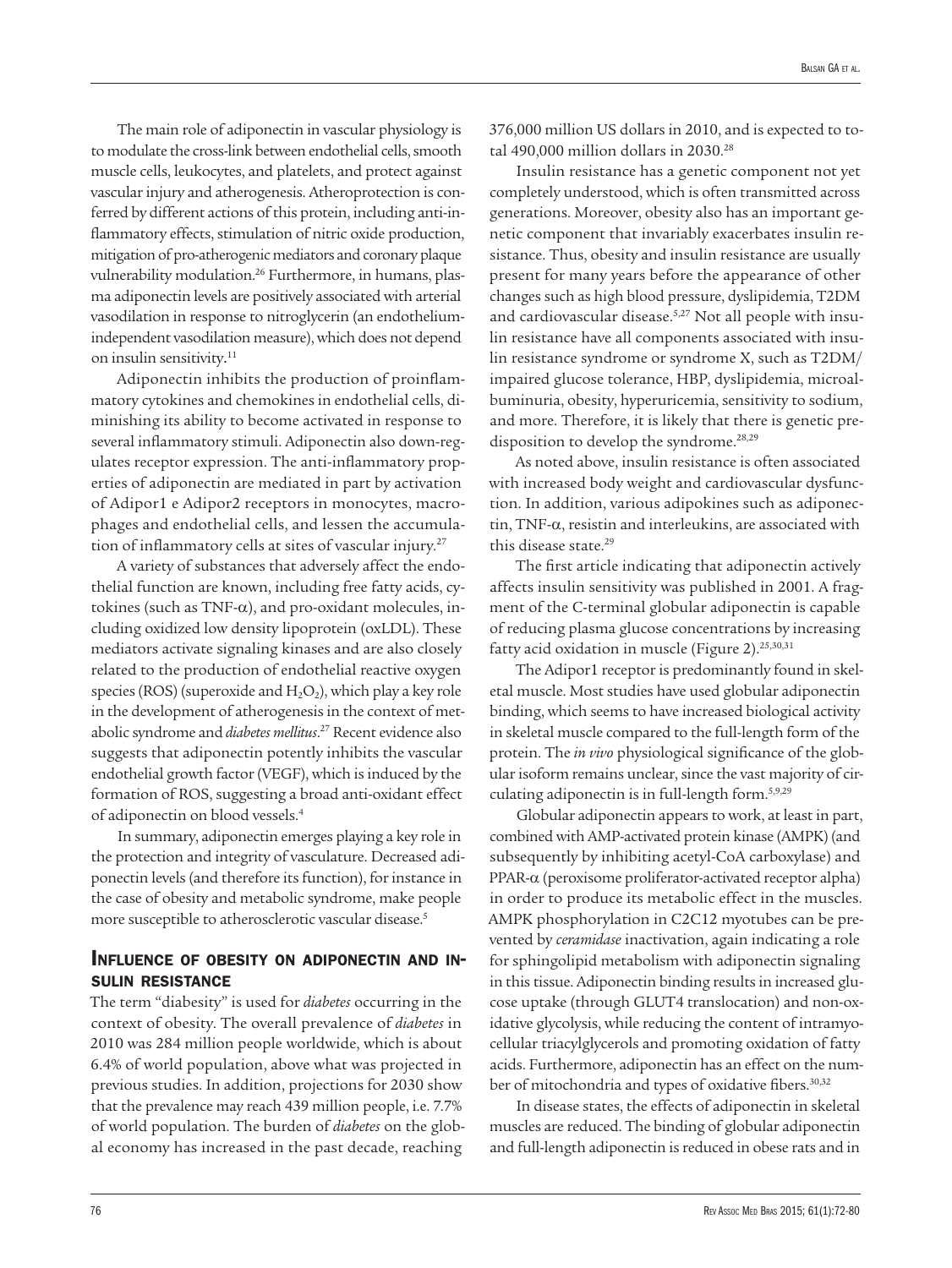The main role of adiponectin in vascular physiology is to modulate the cross-link between endothelial cells, smooth muscle cells, leukocytes, and platelets, and protect against vascular injury and atherogenesis. Atheroprotection is conferred by different actions of this protein, including anti-inflammatory effects, stimulation of nitric oxide production, mitigation of pro-atherogenic mediators and coronary plaque vulnerability modulation.<sup>26</sup> Furthermore, in humans, plasma adiponectin levels are positively associated with arterial vasodilation in response to nitroglycerin (an endotheliumindependent vasodilation measure), which does not depend on insulin sensitivity. 11

Adiponectin inhibits the production of proinflammatory cytokines and chemokines in endothelial cells, diminishing its ability to become activated in response to several inflammatory stimuli. Adiponectin also down-regulates receptor expression. The anti-inflammatory properties of adiponectin are mediated in part by activation of Adipor1 e Adipor2 receptors in monocytes, macrophages and endothelial cells, and lessen the accumulation of inflammatory cells at sites of vascular injury.27

A variety of substances that adversely affect the endothelial function are known, including free fatty acids, cytokines (such as TNF-α), and pro-oxidant molecules, including oxidized low density lipoprotein (oxLDL). These mediators activate signaling kinases and are also closely related to the production of endothelial reactive oxygen species (ROS) (superoxide and  $H_2O_2$ ), which play a key role in the development of atherogenesis in the context of metabolic syndrome and *diabetes mellitus*. 27 Recent evidence also suggests that adiponectin potently inhibits the vascular endothelial growth factor (VEGF), which is induced by the formation of ROS, suggesting a broad anti-oxidant effect of adiponectin on blood vessels.4

In summary, adiponectin emerges playing a key role in the protection and integrity of vasculature. Decreased adiponectin levels (and therefore its function), for instance in the case of obesity and metabolic syndrome, make people more susceptible to atherosclerotic vascular disease.5

## Influence of obesity on adiponectin and in sulin resistance

The term "diabesity" is used for *diabetes* occurring in the context of obesity. The overall prevalence of *diabetes* in 2010 was 284 million people worldwide, which is about 6.4% of world population, above what was projected in previous studies. In addition, projections for 2030 show that the prevalence may reach 439 million people, i.e. 7.7% of world population. The burden of *diabetes* on the global economy has increased in the past decade, reaching

376,000 million US dollars in 2010, and is expected to total 490,000 million dollars in 2030.<sup>28</sup>

Insulin resistance has a genetic component not yet completely understood, which is often transmitted across generations. Moreover, obesity also has an important genetic component that invariably exacerbates insulin resistance. Thus, obesity and insulin resistance are usually present for many years before the appearance of other changes such as high blood pressure, dyslipidemia, T2DM and cardiovascular disease.5,27 Not all people with insulin resistance have all components associated with insulin resistance syndrome or syndrome X, such as T2DM/ impaired glucose tolerance, HBP, dyslipidemia, microalbuminuria, obesity, hyperuricemia, sensitivity to sodium, and more. Therefore, it is likely that there is genetic predisposition to develop the syndrome.<sup>28,29</sup>

As noted above, insulin resistance is often associated with increased body weight and cardiovascular dysfunction. In addition, various adipokines such as adiponectin, TNF-α, resistin and interleukins, are associated with this disease state.29

The first article indicating that adiponectin actively affects insulin sensitivity was published in 2001. A fragment of the C-terminal globular adiponectin is capable of reducing plasma glucose concentrations by increasing fatty acid oxidation in muscle (Figure 2).<sup>25,30,31</sup>

The Adipor1 receptor is predominantly found in skeletal muscle. Most studies have used globular adiponectin binding, which seems to have increased biological activity in skeletal muscle compared to the full-length form of the protein. The *in vivo* physiological significance of the globular isoform remains unclear, since the vast majority of circulating adiponectin is in full-length form.5,9,29

Globular adiponectin appears to work, at least in part, combined with AMP-activated protein kinase (AMPK) (and subsequently by inhibiting acetyl-CoA carboxylase) and PPAR-α (peroxisome proliferator-activated receptor alpha) in order to produce its metabolic effect in the muscles. AMPK phosphorylation in C2C12 myotubes can be prevented by *ceramidase* inactivation, again indicating a role for sphingolipid metabolism with adiponectin signaling in this tissue. Adiponectin binding results in increased glucose uptake (through GLUT4 translocation) and non-oxidative glycolysis, while reducing the content of intramyocellular triacylglycerols and promoting oxidation of fatty acids. Furthermore, adiponectin has an effect on the number of mitochondria and types of oxidative fibers.<sup>30,32</sup>

In disease states, the effects of adiponectin in skeletal muscles are reduced. The binding of globular adiponectin and full-length adiponectin is reduced in obese rats and in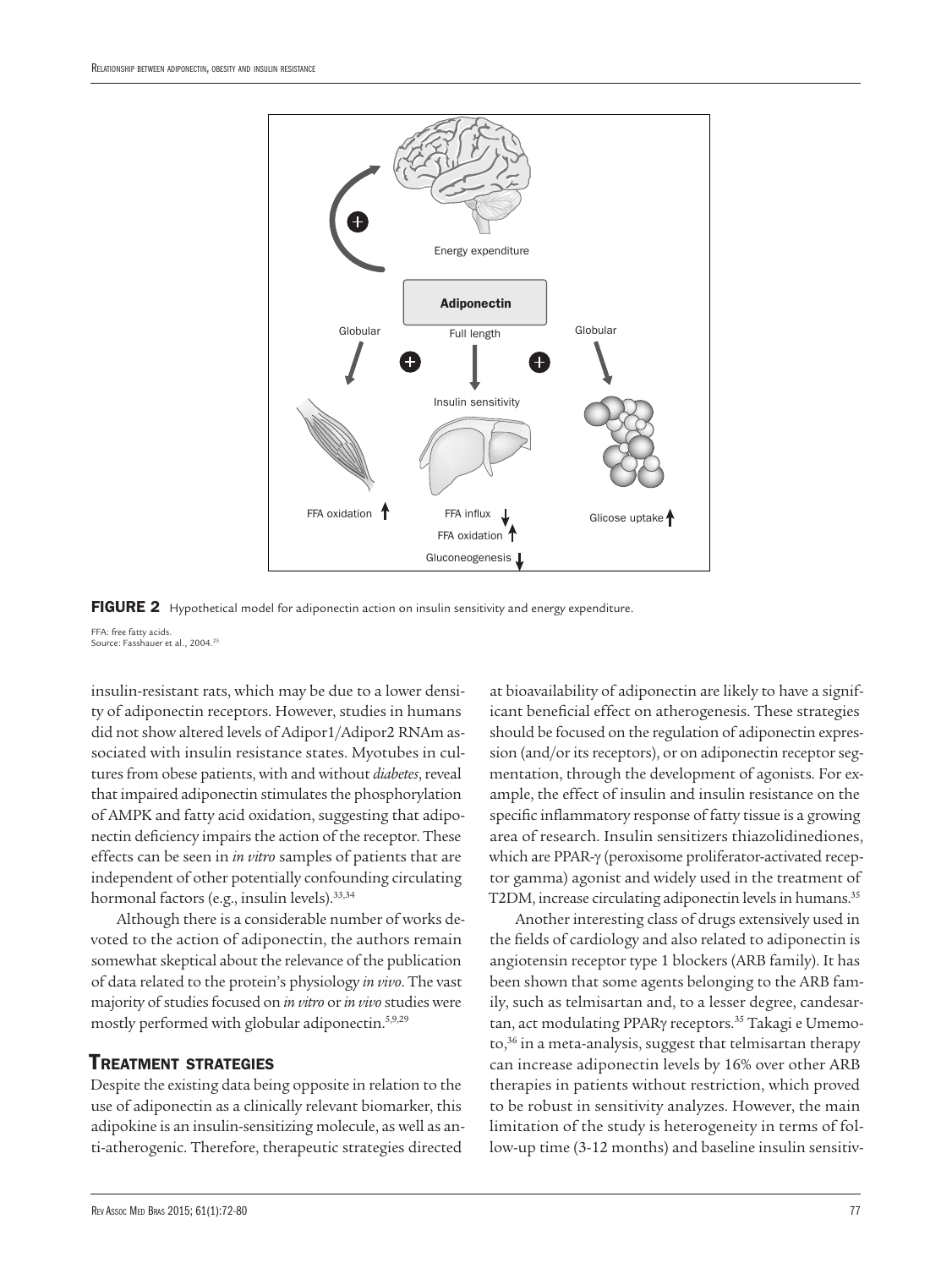

FIGURE 2 Hypothetical model for adiponectin action on insulin sensitivity and energy expenditure.

FFA: free fatty acids. Source: Fasshauer et al., 2004.25

insulin-resistant rats, which may be due to a lower density of adiponectin receptors. However, studies in humans did not show altered levels of Adipor1/Adipor2 RNAm associated with insulin resistance states. Myotubes in cultures from obese patients, with and without *diabetes*, reveal that impaired adiponectin stimulates the phosphorylation of AMPK and fatty acid oxidation, suggesting that adiponectin deficiency impairs the action of the receptor. These effects can be seen in *in vitro* samples of patients that are independent of other potentially confounding circulating hormonal factors (e.g., insulin levels).33,34

Although there is a considerable number of works devoted to the action of adiponectin, the authors remain somewhat skeptical about the relevance of the publication of data related to the protein's physiology *in vivo*. The vast majority of studies focused on *in vitro* or *in vivo* studies were mostly performed with globular adiponectin.5,9,29

## Treatment strategies

Despite the existing data being opposite in relation to the use of adiponectin as a clinically relevant biomarker, this adipokine is an insulin-sensitizing molecule, as well as anti-atherogenic. Therefore, therapeutic strategies directed

at bioavailability of adiponectin are likely to have a significant beneficial effect on atherogenesis. These strategies should be focused on the regulation of adiponectin expression (and/or its receptors), or on adiponectin receptor segmentation, through the development of agonists. For example, the effect of insulin and insulin resistance on the specific inflammatory response of fatty tissue is a growing area of research. Insulin sensitizers thiazolidinediones, which are PPAR-γ (peroxisome proliferator-activated receptor gamma) agonist and widely used in the treatment of T2DM, increase circulating adiponectin levels in humans.<sup>35</sup>

Another interesting class of drugs extensively used in the fields of cardiology and also related to adiponectin is angiotensin receptor type 1 blockers (ARB family). It has been shown that some agents belonging to the ARB family, such as telmisartan and, to a lesser degree, candesartan, act modulating PPARγ receptors.35 Takagi e Umemoto,36 in a meta-analysis, suggest that telmisartan therapy can increase adiponectin levels by 16% over other ARB therapies in patients without restriction, which proved to be robust in sensitivity analyzes. However, the main limitation of the study is heterogeneity in terms of follow-up time (3-12 months) and baseline insulin sensitiv-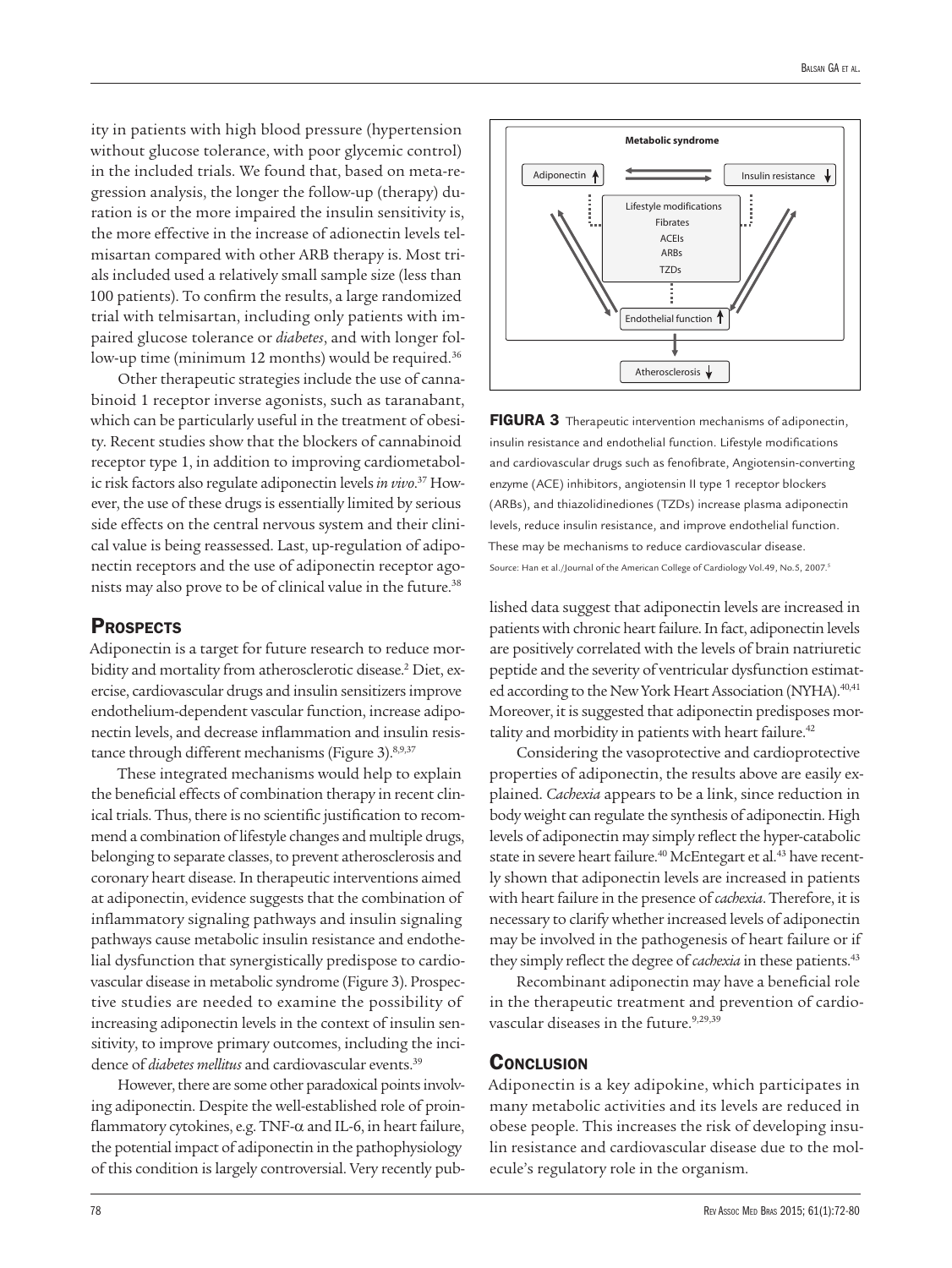ity in patients with high blood pressure (hypertension without glucose tolerance, with poor glycemic control) in the included trials. We found that, based on meta-regression analysis, the longer the follow-up (therapy) duration is or the more impaired the insulin sensitivity is, the more effective in the increase of adionectin levels telmisartan compared with other ARB therapy is. Most trials included used a relatively small sample size (less than 100 patients). To confirm the results, a large randomized trial with telmisartan, including only patients with impaired glucose tolerance or *diabetes*, and with longer follow-up time (minimum 12 months) would be required.<sup>36</sup>

Other therapeutic strategies include the use of cannabinoid 1 receptor inverse agonists, such as taranabant, which can be particularly useful in the treatment of obesity. Recent studies show that the blockers of cannabinoid receptor type 1, in addition to improving cardiometabolic risk factors also regulate adiponectin levels *in vivo*. 37 However, the use of these drugs is essentially limited by serious side effects on the central nervous system and their clinical value is being reassessed. Last, up-regulation of adiponectin receptors and the use of adiponectin receptor agonists may also prove to be of clinical value in the future.38

## **PROSPECTS**

Adiponectin is a target for future research to reduce morbidity and mortality from atherosclerotic disease.<sup>2</sup> Diet, exercise, cardiovascular drugs and insulin sensitizers improve endothelium-dependent vascular function, increase adiponectin levels, and decrease inflammation and insulin resistance through different mechanisms (Figure 3).<sup>8,9,37</sup>

These integrated mechanisms would help to explain the beneficial effects of combination therapy in recent clinical trials. Thus, there is no scientific justification to recommend a combination of lifestyle changes and multiple drugs, belonging to separate classes, to prevent atherosclerosis and coronary heart disease. In therapeutic interventions aimed at adiponectin, evidence suggests that the combination of inflammatory signaling pathways and insulin signaling pathways cause metabolic insulin resistance and endothelial dysfunction that synergistically predispose to cardiovascular disease in metabolic syndrome (Figure 3). Prospective studies are needed to examine the possibility of increasing adiponectin levels in the context of insulin sensitivity, to improve primary outcomes, including the incidence of *diabetes mellitus* and cardiovascular events.<sup>39</sup>

However, there are some other paradoxical points involving adiponectin. Despite the well-established role of proinflammatory cytokines, e.g. TNF-α and IL-6, in heart failure, the potential impact of adiponectin in the pathophysiology of this condition is largely controversial. Very recently pub-



FIGURA 3 Therapeutic intervention mechanisms of adiponectin, insulin resistance and endothelial function. Lifestyle modifications and cardiovascular drugs such as fenofibrate, Angiotensin-converting enzyme (ACE) inhibitors, angiotensin II type 1 receptor blockers (ARBs), and thiazolidinediones (TZDs) increase plasma adiponectin levels, reduce insulin resistance, and improve endothelial function. These may be mechanisms to reduce cardiovascular disease. Source: Han et al./Journal of the American College of Cardiology Vol.49, No.5, 2007.5

lished data suggest that adiponectin levels are increased in patients with chronic heart failure. In fact, adiponectin levels are positively correlated with the levels of brain natriuretic peptide and the severity of ventricular dysfunction estimated according to the New York Heart Association (NYHA).<sup>40,41</sup> Moreover, it is suggested that adiponectin predisposes mortality and morbidity in patients with heart failure.<sup>42</sup>

Considering the vasoprotective and cardioprotective properties of adiponectin, the results above are easily explained. *Cachexia* appears to be a link, since reduction in body weight can regulate the synthesis of adiponectin. High levels of adiponectin may simply reflect the hyper-catabolic state in severe heart failure.<sup>40</sup> McEntegart et al.<sup>43</sup> have recently shown that adiponectin levels are increased in patients with heart failure in the presence of *cachexia*. Therefore, it is necessary to clarify whether increased levels of adiponectin may be involved in the pathogenesis of heart failure or if they simply reflect the degree of *cachexia* in these patients.<sup>43</sup>

Recombinant adiponectin may have a beneficial role in the therapeutic treatment and prevention of cardiovascular diseases in the future.<sup>9,29,39</sup>

#### **CONCLUSION**

Adiponectin is a key adipokine, which participates in many metabolic activities and its levels are reduced in obese people. This increases the risk of developing insulin resistance and cardiovascular disease due to the molecule's regulatory role in the organism.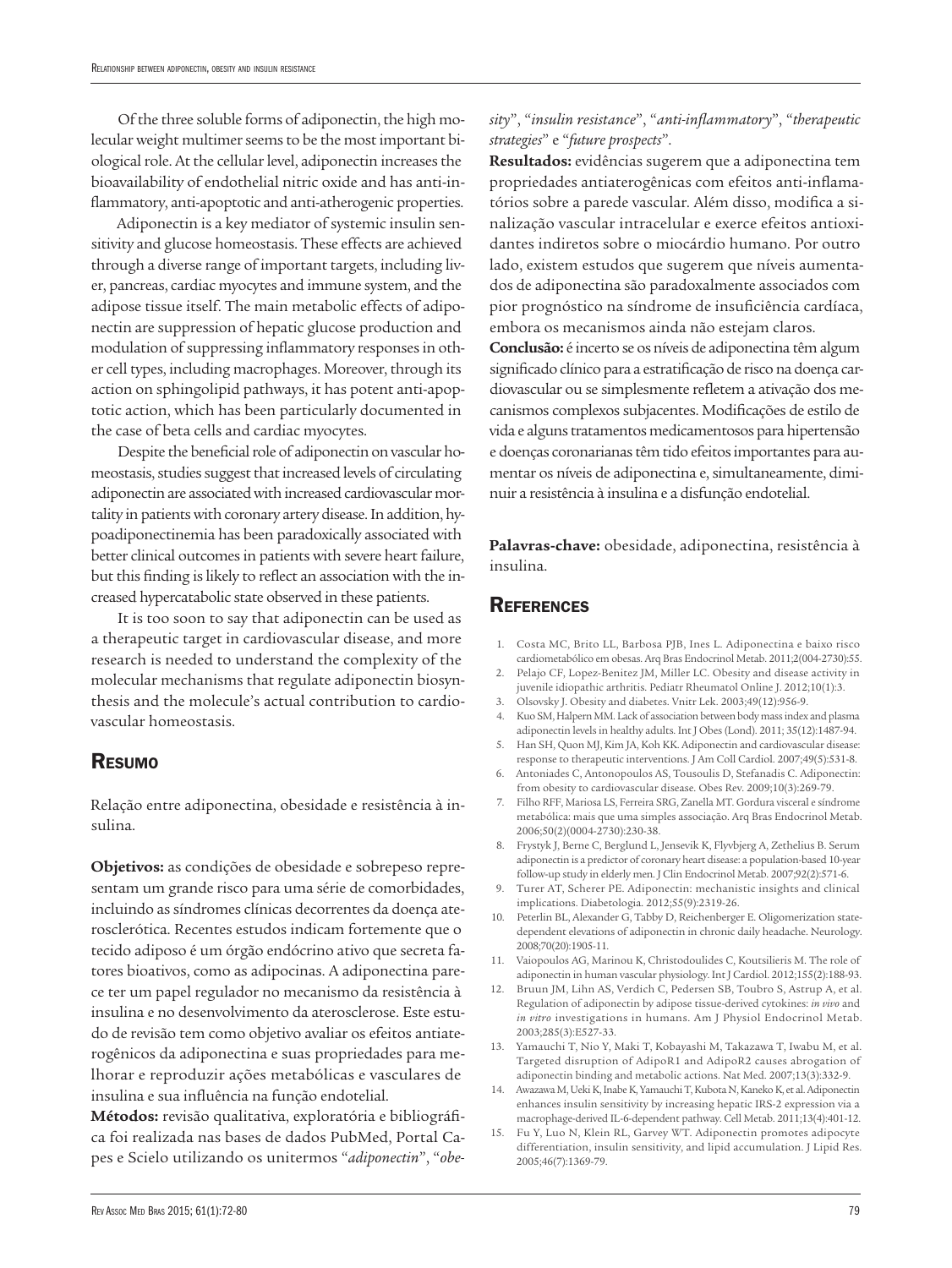Of the three soluble forms of adiponectin, the high molecular weight multimer seems to be the most important biological role. At the cellular level, adiponectin increases the bioavailability of endothelial nitric oxide and has anti-inflammatory, anti-apoptotic and anti-atherogenic properties.

Adiponectin is a key mediator of systemic insulin sensitivity and glucose homeostasis. These effects are achieved through a diverse range of important targets, including liver, pancreas, cardiac myocytes and immune system, and the adipose tissue itself. The main metabolic effects of adiponectin are suppression of hepatic glucose production and modulation of suppressing inflammatory responses in other cell types, including macrophages. Moreover, through its action on sphingolipid pathways, it has potent anti-apoptotic action, which has been particularly documented in the case of beta cells and cardiac myocytes.

Despite the beneficial role of adiponectin on vascular homeostasis, studies suggest that increased levels of circulating adiponectin are associated with increased cardiovascular mortality in patients with coronary artery disease. In addition, hypoadiponectinemia has been paradoxically associated with better clinical outcomes in patients with severe heart failure, but this finding is likely to reflect an association with the increased hypercatabolic state observed in these patients.

It is too soon to say that adiponectin can be used as a therapeutic target in cardiovascular disease, and more research is needed to understand the complexity of the molecular mechanisms that regulate adiponectin biosynthesis and the molecule's actual contribution to cardiovascular homeostasis.

#### Resumo

Relação entre adiponectina, obesidade e resistência à insulina.

**Objetivos:** as condições de obesidade e sobrepeso representam um grande risco para uma série de comorbidades, incluindo as síndromes clínicas decorrentes da doença aterosclerótica. Recentes estudos indicam fortemente que o tecido adiposo é um órgão endócrino ativo que secreta fatores bioativos, como as adipocinas. A adiponectina parece ter um papel regulador no mecanismo da resistência à insulina e no desenvolvimento da aterosclerose. Este estudo de revisão tem como objetivo avaliar os efeitos antiaterogênicos da adiponectina e suas propriedades para melhorar e reproduzir ações metabólicas e vasculares de insulina e sua influência na função endotelial.

**Métodos:** revisão qualitativa, exploratória e bibliográfica foi realizada nas bases de dados PubMed, Portal Capes e Scielo utilizando os unitermos "*adiponectin*", "*obe-*

### *sity*", "*insulin resistance*", "*anti-inflammatory*", "*therapeutic strategies*" e "*future prospects*".

**Resultados:** evidências sugerem que a adiponectina tem propriedades antiaterogênicas com efeitos anti-inflamatórios sobre a parede vascular. Além disso, modifica a sinalização vascular intracelular e exerce efeitos antioxidantes indiretos sobre o miocárdio humano. Por outro lado, existem estudos que sugerem que níveis aumentados de adiponectina são paradoxalmente associados com pior prognóstico na síndrome de insuficiência cardíaca, embora os mecanismos ainda não estejam claros.

**Conclusão:** é incerto se os níveis de adiponectina têm algum significado clínico para a estratificação de risco na doença cardiovascular ou se simplesmente refletem a ativação dos mecanismos complexos subjacentes. Modificações de estilo de vida e alguns tratamentos medicamentosos para hipertensão e doenças coronarianas têm tido efeitos importantes para aumentar os níveis de adiponectina e, simultaneamente, diminuir a resistência à insulina e a disfunção endotelial.

**Palavras-chave:** obesidade, adiponectina, resistência à insulina.

### **REFERENCES**

- 1. Costa MC, Brito LL, Barbosa PJB, Ines L. Adiponectina e baixo risco cardiometabólico em obesas. Arq Bras Endocrinol Metab. 2011;2(004-2730):55.
- 2. Pelajo CF, Lopez-Benitez JM, Miller LC. Obesity and disease activity in juvenile idiopathic arthritis. Pediatr Rheumatol Online J. 2012;10(1):3.
- 3. Olsovsky J. Obesity and diabetes. Vnitr Lek. 2003;49(12):956-9.
- 4. Kuo SM, Halpern MM. Lack of association between body mass index and plasma adiponectin levels in healthy adults. Int J Obes (Lond). 2011; 35(12):1487-94.
- 5. Han SH, Quon MJ, Kim JA, Koh KK. Adiponectin and cardiovascular disease: response to therapeutic interventions. J Am Coll Cardiol. 2007;49(5):531-8.
- 6. Antoniades C, Antonopoulos AS, Tousoulis D, Stefanadis C. Adiponectin: from obesity to cardiovascular disease. Obes Rev. 2009;10(3):269-79.
- 7. Filho RFF, Mariosa LS, Ferreira SRG, Zanella MT. Gordura visceral e síndrome metabólica: mais que uma simples associação. Arq Bras Endocrinol Metab. 2006;50(2)(0004-2730):230-38.
- 8. Frystyk J, Berne C, Berglund L, Jensevik K, Flyvbjerg A, Zethelius B. Serum adiponectin is a predictor of coronary heart disease: a population-based 10-year follow-up study in elderly men. J Clin Endocrinol Metab. 2007;92(2):571-6.
- 9. Turer AT, Scherer PE. Adiponectin: mechanistic insights and clinical implications. Diabetologia. 2012;55(9):2319-26.
- 10. Peterlin BL, Alexander G, Tabby D, Reichenberger E. Oligomerization statedependent elevations of adiponectin in chronic daily headache. Neurology. 2008;70(20):1905-11.
- 11. Vaiopoulos AG, Marinou K, Christodoulides C, Koutsilieris M. The role of adiponectin in human vascular physiology. Int J Cardiol. 2012;155(2):188-93.
- 12. Bruun JM, Lihn AS, Verdich C, Pedersen SB, Toubro S, Astrup A, et al. Regulation of adiponectin by adipose tissue-derived cytokines: *in vivo* and *in vitro* investigations in humans. Am J Physiol Endocrinol Metab. 2003;285(3):E527-33.
- 13. Yamauchi T, Nio Y, Maki T, Kobayashi M, Takazawa T, Iwabu M, et al. Targeted disruption of AdipoR1 and AdipoR2 causes abrogation of adiponectin binding and metabolic actions. Nat Med. 2007;13(3):332-9.
- 14. Awazawa M, Ueki K, Inabe K, Yamauchi T, Kubota N, Kaneko K, et al. Adiponectin enhances insulin sensitivity by increasing hepatic IRS-2 expression via a macrophage-derived IL-6-dependent pathway. Cell Metab. 2011;13(4):401-12.
- 15. Fu Y, Luo N, Klein RL, Garvey WT. Adiponectin promotes adipocyte differentiation, insulin sensitivity, and lipid accumulation. J Lipid Res. 2005;46(7):1369-79.